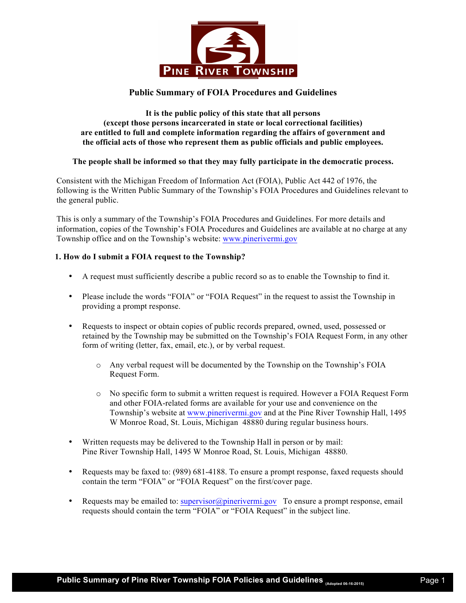

# **Public Summary of FOIA Procedures and Guidelines**

## **It is the public policy of this state that all persons (except those persons incarcerated in state or local correctional facilities) are entitled to full and complete information regarding the affairs of government and the official acts of those who represent them as public officials and public employees.**

# **The people shall be informed so that they may fully participate in the democratic process.**

Consistent with the Michigan Freedom of Information Act (FOIA), Public Act 442 of 1976, the following is the Written Public Summary of the Township's FOIA Procedures and Guidelines relevant to the general public.

This is only a summary of the Township's FOIA Procedures and Guidelines. For more details and information, copies of the Township's FOIA Procedures and Guidelines are available at no charge at any Township office and on the Township's website: www.pinerivermi.gov

# **1. How do I submit a FOIA request to the Township?**

- A request must sufficiently describe a public record so as to enable the Township to find it.
- Please include the words "FOIA" or "FOIA Request" in the request to assist the Township in providing a prompt response.
- Requests to inspect or obtain copies of public records prepared, owned, used, possessed or retained by the Township may be submitted on the Township's FOIA Request Form, in any other form of writing (letter, fax, email, etc.), or by verbal request.
	- o Any verbal request will be documented by the Township on the Township's FOIA Request Form.
	- o No specific form to submit a written request is required. However a FOIA Request Form and other FOIA-related forms are available for your use and convenience on the Township's website at www.pinerivermi.gov and at the Pine River Township Hall, 1495 W Monroe Road, St. Louis, Michigan 48880 during regular business hours.
- Written requests may be delivered to the Township Hall in person or by mail: Pine River Township Hall, 1495 W Monroe Road, St. Louis, Michigan 48880.
- Requests may be faxed to: (989) 681-4188. To ensure a prompt response, faxed requests should contain the term "FOIA" or "FOIA Request" on the first/cover page.
- Requests may be emailed to: supervisor@pinerivermi.gov To ensure a prompt response, email requests should contain the term "FOIA" or "FOIA Request" in the subject line.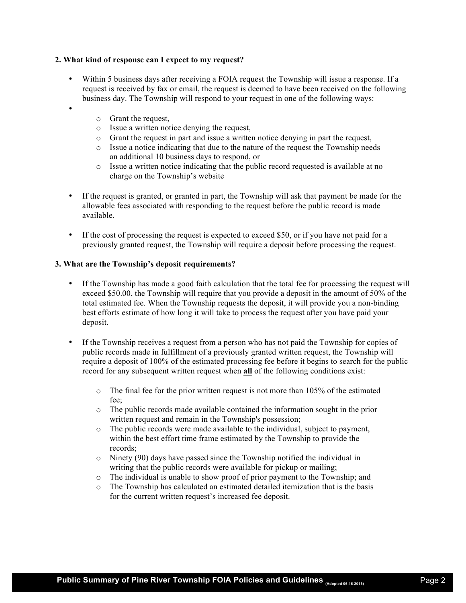## **2. What kind of response can I expect to my request?**

- Within 5 business days after receiving a FOIA request the Township will issue a response. If a request is received by fax or email, the request is deemed to have been received on the following business day. The Township will respond to your request in one of the following ways:
	- o Grant the request,

•

- o Issue a written notice denying the request,
- o Grant the request in part and issue a written notice denying in part the request,
- o Issue a notice indicating that due to the nature of the request the Township needs an additional 10 business days to respond, or
- $\circ$  Issue a written notice indicating that the public record requested is available at no charge on the Township's website
- If the request is granted, or granted in part, the Township will ask that payment be made for the allowable fees associated with responding to the request before the public record is made available.
- If the cost of processing the request is expected to exceed \$50, or if you have not paid for a previously granted request, the Township will require a deposit before processing the request.

## **3. What are the Township's deposit requirements?**

- If the Township has made a good faith calculation that the total fee for processing the request will exceed \$50.00, the Township will require that you provide a deposit in the amount of 50% of the total estimated fee. When the Township requests the deposit, it will provide you a non-binding best efforts estimate of how long it will take to process the request after you have paid your deposit.
- If the Township receives a request from a person who has not paid the Township for copies of public records made in fulfillment of a previously granted written request, the Township will require a deposit of 100% of the estimated processing fee before it begins to search for the public record for any subsequent written request when **all** of the following conditions exist:
	- $\circ$  The final fee for the prior written request is not more than 105% of the estimated fee;
	- o The public records made available contained the information sought in the prior written request and remain in the Township's possession;
	- o The public records were made available to the individual, subject to payment, within the best effort time frame estimated by the Township to provide the records;
	- o Ninety (90) days have passed since the Township notified the individual in writing that the public records were available for pickup or mailing;
	- o The individual is unable to show proof of prior payment to the Township; and
	- o The Township has calculated an estimated detailed itemization that is the basis for the current written request's increased fee deposit.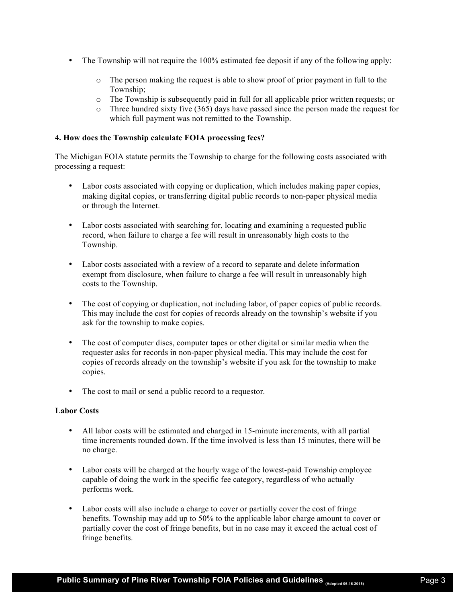- The Township will not require the 100% estimated fee deposit if any of the following apply:
	- o The person making the request is able to show proof of prior payment in full to the Township;
	- o The Township is subsequently paid in full for all applicable prior written requests; or
	- o Three hundred sixty five (365) days have passed since the person made the request for which full payment was not remitted to the Township.

## **4. How does the Township calculate FOIA processing fees?**

The Michigan FOIA statute permits the Township to charge for the following costs associated with processing a request:

- Labor costs associated with copying or duplication, which includes making paper copies, making digital copies, or transferring digital public records to non-paper physical media or through the Internet.
- Labor costs associated with searching for, locating and examining a requested public record, when failure to charge a fee will result in unreasonably high costs to the Township.
- Labor costs associated with a review of a record to separate and delete information exempt from disclosure, when failure to charge a fee will result in unreasonably high costs to the Township.
- The cost of copying or duplication, not including labor, of paper copies of public records. This may include the cost for copies of records already on the township's website if you ask for the township to make copies.
- The cost of computer discs, computer tapes or other digital or similar media when the requester asks for records in non-paper physical media. This may include the cost for copies of records already on the township's website if you ask for the township to make copies.
- The cost to mail or send a public record to a requestor.

## **Labor Costs**

- All labor costs will be estimated and charged in 15-minute increments, with all partial time increments rounded down. If the time involved is less than 15 minutes, there will be no charge.
- Labor costs will be charged at the hourly wage of the lowest-paid Township employee capable of doing the work in the specific fee category, regardless of who actually performs work.
- Labor costs will also include a charge to cover or partially cover the cost of fringe benefits. Township may add up to 50% to the applicable labor charge amount to cover or partially cover the cost of fringe benefits, but in no case may it exceed the actual cost of fringe benefits.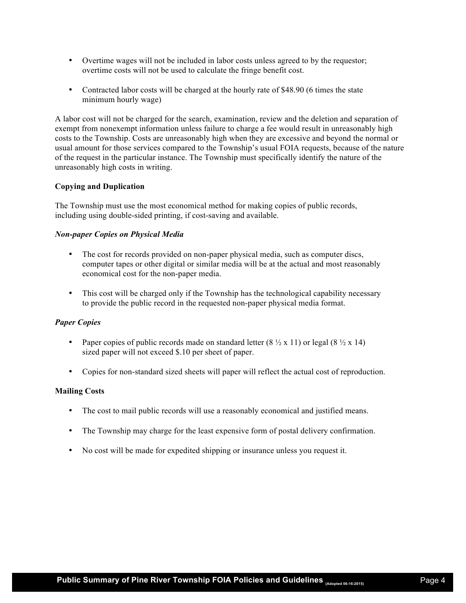- Overtime wages will not be included in labor costs unless agreed to by the requestor; overtime costs will not be used to calculate the fringe benefit cost.
- Contracted labor costs will be charged at the hourly rate of \$48.90 (6 times the state minimum hourly wage)

A labor cost will not be charged for the search, examination, review and the deletion and separation of exempt from nonexempt information unless failure to charge a fee would result in unreasonably high costs to the Township. Costs are unreasonably high when they are excessive and beyond the normal or usual amount for those services compared to the Township's usual FOIA requests, because of the nature of the request in the particular instance. The Township must specifically identify the nature of the unreasonably high costs in writing.

## **Copying and Duplication**

The Township must use the most economical method for making copies of public records, including using double-sided printing, if cost-saving and available.

## *Non-paper Copies on Physical Media*

- The cost for records provided on non-paper physical media, such as computer discs, computer tapes or other digital or similar media will be at the actual and most reasonably economical cost for the non-paper media.
- This cost will be charged only if the Township has the technological capability necessary to provide the public record in the requested non-paper physical media format.

## *Paper Copies*

- Paper copies of public records made on standard letter  $(8 \frac{1}{2} \times 11)$  or legal  $(8 \frac{1}{2} \times 14)$ sized paper will not exceed \$.10 per sheet of paper.
- Copies for non-standard sized sheets will paper will reflect the actual cost of reproduction.

## **Mailing Costs**

- The cost to mail public records will use a reasonably economical and justified means.
- The Township may charge for the least expensive form of postal delivery confirmation.
- No cost will be made for expedited shipping or insurance unless you request it.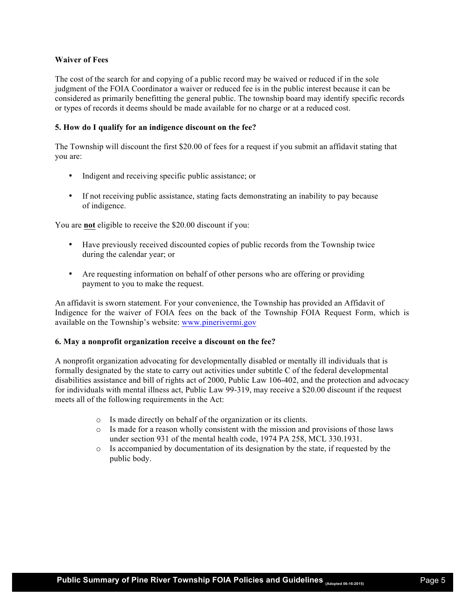# **Waiver of Fees**

The cost of the search for and copying of a public record may be waived or reduced if in the sole judgment of the FOIA Coordinator a waiver or reduced fee is in the public interest because it can be considered as primarily benefitting the general public. The township board may identify specific records or types of records it deems should be made available for no charge or at a reduced cost.

## **5. How do I qualify for an indigence discount on the fee?**

The Township will discount the first \$20.00 of fees for a request if you submit an affidavit stating that you are:

- Indigent and receiving specific public assistance; or
- If not receiving public assistance, stating facts demonstrating an inability to pay because of indigence.

You are **not** eligible to receive the \$20.00 discount if you:

- Have previously received discounted copies of public records from the Township twice during the calendar year; or
- Are requesting information on behalf of other persons who are offering or providing payment to you to make the request.

An affidavit is sworn statement. For your convenience, the Township has provided an Affidavit of Indigence for the waiver of FOIA fees on the back of the Township FOIA Request Form, which is available on the Township's website: www.pinerivermi.gov

## **6. May a nonprofit organization receive a discount on the fee?**

A nonprofit organization advocating for developmentally disabled or mentally ill individuals that is formally designated by the state to carry out activities under subtitle C of the federal developmental disabilities assistance and bill of rights act of 2000, Public Law 106-402, and the protection and advocacy for individuals with mental illness act, Public Law 99-319, may receive a \$20.00 discount if the request meets all of the following requirements in the Act:

- o Is made directly on behalf of the organization or its clients.
- o Is made for a reason wholly consistent with the mission and provisions of those laws under section 931 of the mental health code, 1974 PA 258, MCL 330.1931.
- o Is accompanied by documentation of its designation by the state, if requested by the public body.